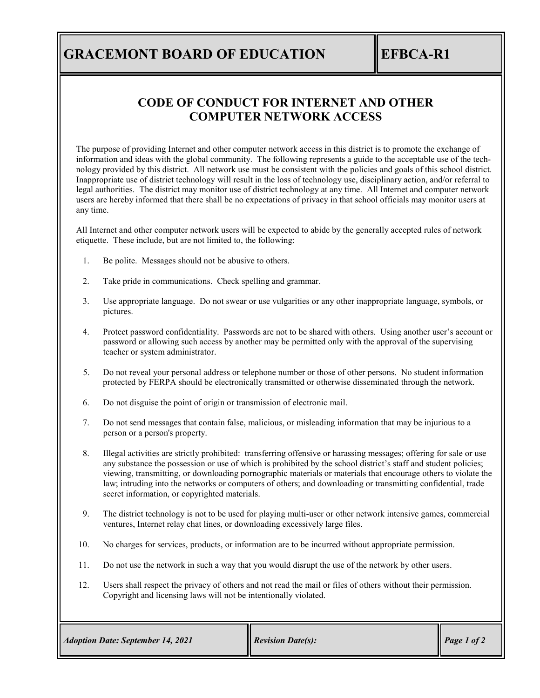## **GRACEMONT BOARD OF EDUCATION EFBCA-R1**

## **CODE OF CONDUCT FOR INTERNET AND OTHER COMPUTER NETWORK ACCESS**

The purpose of providing Internet and other computer network access in this district is to promote the exchange of information and ideas with the global community. The following represents a guide to the acceptable use of the technology provided by this district. All network use must be consistent with the policies and goals of this school district. Inappropriate use of district technology will result in the loss of technology use, disciplinary action, and/or referral to legal authorities. The district may monitor use of district technology at any time. All Internet and computer network users are hereby informed that there shall be no expectations of privacy in that school officials may monitor users at any time.

All Internet and other computer network users will be expected to abide by the generally accepted rules of network etiquette. These include, but are not limited to, the following:

- 1. Be polite. Messages should not be abusive to others.
- 2. Take pride in communications. Check spelling and grammar.
- 3. Use appropriate language. Do not swear or use vulgarities or any other inappropriate language, symbols, or pictures.
- 4. Protect password confidentiality. Passwords are not to be shared with others. Using another user's account or password or allowing such access by another may be permitted only with the approval of the supervising teacher or system administrator.
- 5. Do not reveal your personal address or telephone number or those of other persons. No student information protected by FERPA should be electronically transmitted or otherwise disseminated through the network.
- 6. Do not disguise the point of origin or transmission of electronic mail.
- 7. Do not send messages that contain false, malicious, or misleading information that may be injurious to a person or a person's property.
- 8. Illegal activities are strictly prohibited: transferring offensive or harassing messages; offering for sale or use any substance the possession or use of which is prohibited by the school district's staff and student policies; viewing, transmitting, or downloading pornographic materials or materials that encourage others to violate the law; intruding into the networks or computers of others; and downloading or transmitting confidential, trade secret information, or copyrighted materials.
- 9. The district technology is not to be used for playing multi-user or other network intensive games, commercial ventures, Internet relay chat lines, or downloading excessively large files.
- 10. No charges for services, products, or information are to be incurred without appropriate permission.
- 11. Do not use the network in such a way that you would disrupt the use of the network by other users.
- 12. Users shall respect the privacy of others and not read the mail or files of others without their permission. Copyright and licensing laws will not be intentionally violated.

| <b>Adoption Date: September 14, 2021</b> | <b>Revision Date(s):</b> | $\blacksquare$ Page 1 of 2 |
|------------------------------------------|--------------------------|----------------------------|
|                                          |                          |                            |